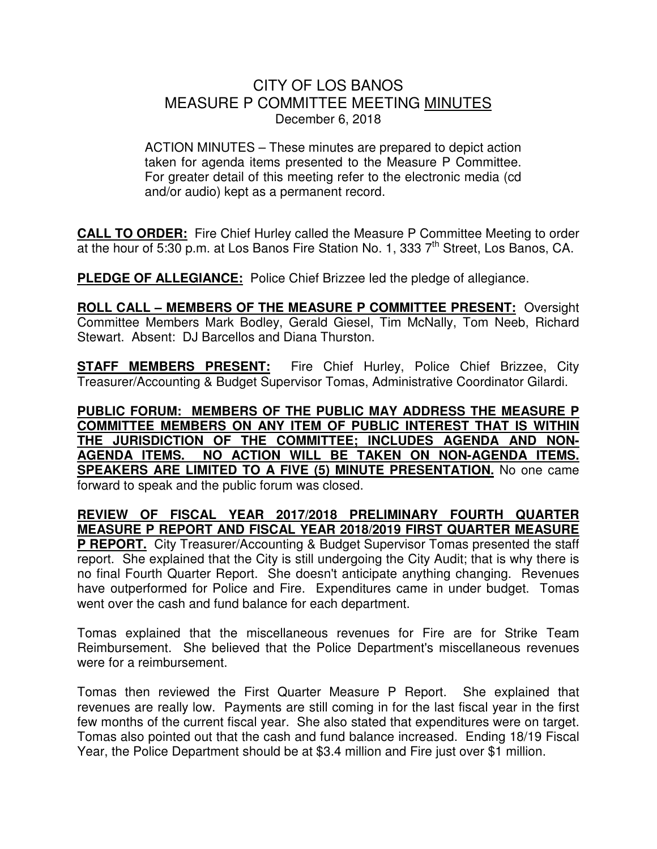## CITY OF LOS BANOS MEASURE P COMMITTEE MEETING MINUTES December 6, 2018

ACTION MINUTES – These minutes are prepared to depict action taken for agenda items presented to the Measure P Committee. For greater detail of this meeting refer to the electronic media (cd and/or audio) kept as a permanent record.

**CALL TO ORDER:** Fire Chief Hurley called the Measure P Committee Meeting to order at the hour of 5:30 p.m. at Los Banos Fire Station No. 1, 333 7<sup>th</sup> Street, Los Banos, CA.

**PLEDGE OF ALLEGIANCE:** Police Chief Brizzee led the pledge of allegiance.

**ROLL CALL – MEMBERS OF THE MEASURE P COMMITTEE PRESENT:** Oversight Committee Members Mark Bodley, Gerald Giesel, Tim McNally, Tom Neeb, Richard Stewart. Absent: DJ Barcellos and Diana Thurston.

**STAFF MEMBERS PRESENT:** Fire Chief Hurley, Police Chief Brizzee, City Treasurer/Accounting & Budget Supervisor Tomas, Administrative Coordinator Gilardi.

**PUBLIC FORUM: MEMBERS OF THE PUBLIC MAY ADDRESS THE MEASURE P COMMITTEE MEMBERS ON ANY ITEM OF PUBLIC INTEREST THAT IS WITHIN THE JURISDICTION OF THE COMMITTEE; INCLUDES AGENDA AND NON-AGENDA ITEMS. NO ACTION WILL BE TAKEN ON NON-AGENDA ITEMS. SPEAKERS ARE LIMITED TO A FIVE (5) MINUTE PRESENTATION.** No one came forward to speak and the public forum was closed.

# **REVIEW OF FISCAL YEAR 2017/2018 PRELIMINARY FOURTH QUARTER MEASURE P REPORT AND FISCAL YEAR 2018/2019 FIRST QUARTER MEASURE**

**P REPORT.** City Treasurer/Accounting & Budget Supervisor Tomas presented the staff report. She explained that the City is still undergoing the City Audit; that is why there is no final Fourth Quarter Report. She doesn't anticipate anything changing. Revenues have outperformed for Police and Fire. Expenditures came in under budget. Tomas went over the cash and fund balance for each department.

Tomas explained that the miscellaneous revenues for Fire are for Strike Team Reimbursement. She believed that the Police Department's miscellaneous revenues were for a reimbursement.

Tomas then reviewed the First Quarter Measure P Report. She explained that revenues are really low. Payments are still coming in for the last fiscal year in the first few months of the current fiscal year. She also stated that expenditures were on target. Tomas also pointed out that the cash and fund balance increased. Ending 18/19 Fiscal Year, the Police Department should be at \$3.4 million and Fire just over \$1 million.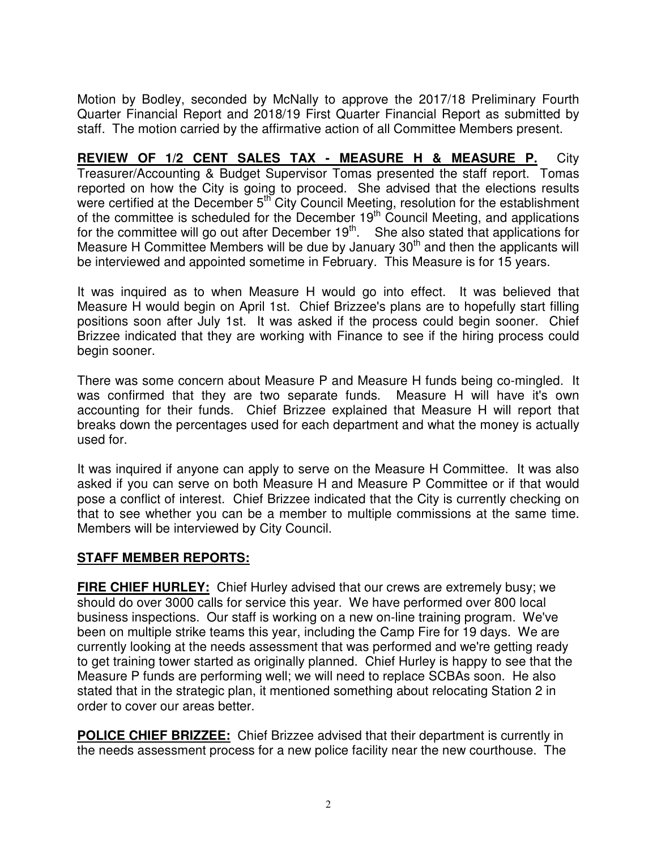Motion by Bodley, seconded by McNally to approve the 2017/18 Preliminary Fourth Quarter Financial Report and 2018/19 First Quarter Financial Report as submitted by staff. The motion carried by the affirmative action of all Committee Members present.

**REVIEW OF 1/2 CENT SALES TAX - MEASURE H & MEASURE P.** City Treasurer/Accounting & Budget Supervisor Tomas presented the staff report. Tomas reported on how the City is going to proceed. She advised that the elections results were certified at the December 5<sup>th</sup> City Council Meeting, resolution for the establishment of the committee is scheduled for the December 19<sup>th</sup> Council Meeting, and applications for the committee will go out after December  $19<sup>th</sup>$ . She also stated that applications for Measure H Committee Members will be due by January  $30<sup>th</sup>$  and then the applicants will be interviewed and appointed sometime in February. This Measure is for 15 years.

It was inquired as to when Measure H would go into effect. It was believed that Measure H would begin on April 1st. Chief Brizzee's plans are to hopefully start filling positions soon after July 1st. It was asked if the process could begin sooner. Chief Brizzee indicated that they are working with Finance to see if the hiring process could begin sooner.

There was some concern about Measure P and Measure H funds being co-mingled. It was confirmed that they are two separate funds. Measure H will have it's own accounting for their funds. Chief Brizzee explained that Measure H will report that breaks down the percentages used for each department and what the money is actually used for.

It was inquired if anyone can apply to serve on the Measure H Committee. It was also asked if you can serve on both Measure H and Measure P Committee or if that would pose a conflict of interest. Chief Brizzee indicated that the City is currently checking on that to see whether you can be a member to multiple commissions at the same time. Members will be interviewed by City Council.

### **STAFF MEMBER REPORTS:**

**FIRE CHIEF HURLEY:** Chief Hurley advised that our crews are extremely busy; we should do over 3000 calls for service this year. We have performed over 800 local business inspections. Our staff is working on a new on-line training program. We've been on multiple strike teams this year, including the Camp Fire for 19 days. We are currently looking at the needs assessment that was performed and we're getting ready to get training tower started as originally planned. Chief Hurley is happy to see that the Measure P funds are performing well; we will need to replace SCBAs soon. He also stated that in the strategic plan, it mentioned something about relocating Station 2 in order to cover our areas better.

**POLICE CHIEF BRIZZEE:** Chief Brizzee advised that their department is currently in the needs assessment process for a new police facility near the new courthouse. The